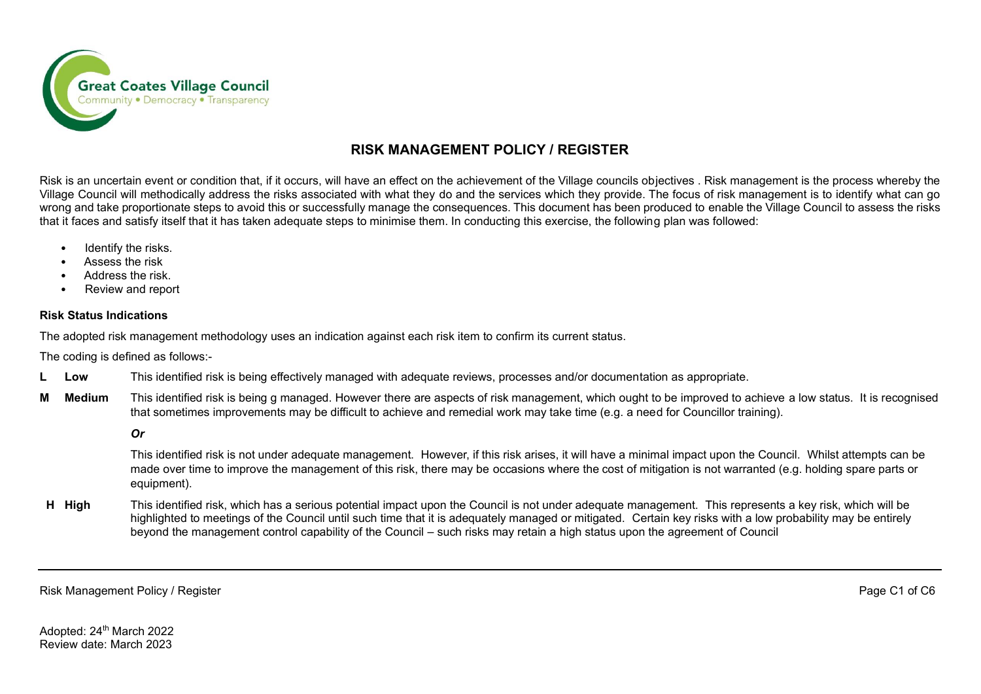

## **RISK MANAGEMENT POLICY / REGISTER**

Risk is an uncertain event or condition that, if it occurs, will have an effect on the achievement of the Village councils objectives . Risk management is the process whereby the Village Council will methodically address the risks associated with what they do and the services which they provide. The focus of risk management is to identify what can go wrong and take proportionate steps to avoid this or successfully manage the consequences. This document has been produced to enable the Village Council to assess the risks that it faces and satisfy itself that it has taken adequate steps to minimise them. In conducting this exercise, the following plan was followed:

- Identify the risks.
- Assess the risk
- Address the risk.
- Review and report

## **Risk Status Indications**

The adopted risk management methodology uses an indication against each risk item to confirm its current status.

The coding is defined as follows:-

- **L Low** This identified risk is being effectively managed with adequate reviews, processes and/or documentation as appropriate.
- **Medium** This identified risk is being g managed. However there are aspects of risk management, which ought to be improved to achieve a low status. It is recognised that sometimes improvements may be difficult to achieve and remedial work may take time (e.g. a need for Councillor training).

*Or*

This identified risk is not under adequate management. However, if this risk arises, it will have a minimal impact upon the Council. Whilst attempts can be made over time to improve the management of this risk, there may be occasions where the cost of mitigation is not warranted (e.g. holding spare parts or equipment).

**H High** This identified risk, which has a serious potential impact upon the Council is not under adequate management. This represents a key risk, which will be highlighted to meetings of the Council until such time that it is adequately managed or mitigated. Certain key risks with a low probability may be entirely beyond the management control capability of the Council – such risks may retain a high status upon the agreement of Council

Risk Management Policy / Register Page C1 of C6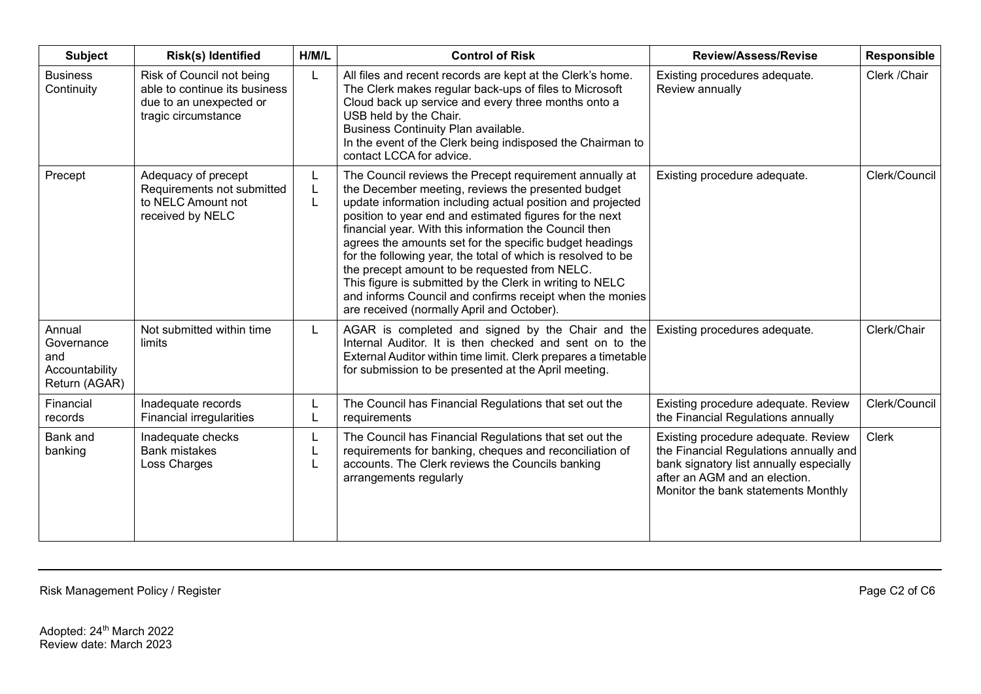| <b>Subject</b>                                                 | Risk(s) Identified                                                                                           | H/M/L       | <b>Control of Risk</b>                                                                                                                                                                                                                                                                                                                                                                                                                                                                                                                                                                                                                             | <b>Review/Assess/Revise</b>                                                                                                                                                                      | Responsible   |
|----------------------------------------------------------------|--------------------------------------------------------------------------------------------------------------|-------------|----------------------------------------------------------------------------------------------------------------------------------------------------------------------------------------------------------------------------------------------------------------------------------------------------------------------------------------------------------------------------------------------------------------------------------------------------------------------------------------------------------------------------------------------------------------------------------------------------------------------------------------------------|--------------------------------------------------------------------------------------------------------------------------------------------------------------------------------------------------|---------------|
| <b>Business</b><br>Continuity                                  | Risk of Council not being<br>able to continue its business<br>due to an unexpected or<br>tragic circumstance | Г           | All files and recent records are kept at the Clerk's home.<br>The Clerk makes regular back-ups of files to Microsoft<br>Cloud back up service and every three months onto a<br>USB held by the Chair.<br>Business Continuity Plan available.<br>In the event of the Clerk being indisposed the Chairman to<br>contact LCCA for advice.                                                                                                                                                                                                                                                                                                             | Existing procedures adequate.<br>Review annually                                                                                                                                                 | Clerk / Chair |
| Precept                                                        | Adequacy of precept<br>Requirements not submitted<br>to NELC Amount not<br>received by NELC                  | L<br>L<br>L | The Council reviews the Precept requirement annually at<br>the December meeting, reviews the presented budget<br>update information including actual position and projected<br>position to year end and estimated figures for the next<br>financial year. With this information the Council then<br>agrees the amounts set for the specific budget headings<br>for the following year, the total of which is resolved to be<br>the precept amount to be requested from NELC.<br>This figure is submitted by the Clerk in writing to NELC<br>and informs Council and confirms receipt when the monies<br>are received (normally April and October). | Existing procedure adequate.                                                                                                                                                                     | Clerk/Council |
| Annual<br>Governance<br>and<br>Accountability<br>Return (AGAR) | Not submitted within time<br>limits                                                                          | L.          | AGAR is completed and signed by the Chair and the<br>Internal Auditor. It is then checked and sent on to the<br>External Auditor within time limit. Clerk prepares a timetable<br>for submission to be presented at the April meeting.                                                                                                                                                                                                                                                                                                                                                                                                             | Existing procedures adequate.                                                                                                                                                                    | Clerk/Chair   |
| Financial<br>records                                           | Inadequate records<br><b>Financial irregularities</b>                                                        | L<br>L      | The Council has Financial Regulations that set out the<br>requirements                                                                                                                                                                                                                                                                                                                                                                                                                                                                                                                                                                             | Existing procedure adequate. Review<br>the Financial Regulations annually                                                                                                                        | Clerk/Council |
| Bank and<br>banking                                            | Inadequate checks<br><b>Bank mistakes</b><br>Loss Charges                                                    | L<br>L<br>L | The Council has Financial Regulations that set out the<br>requirements for banking, cheques and reconciliation of<br>accounts. The Clerk reviews the Councils banking<br>arrangements regularly                                                                                                                                                                                                                                                                                                                                                                                                                                                    | Existing procedure adequate. Review<br>the Financial Regulations annually and<br>bank signatory list annually especially<br>after an AGM and an election.<br>Monitor the bank statements Monthly | <b>Clerk</b>  |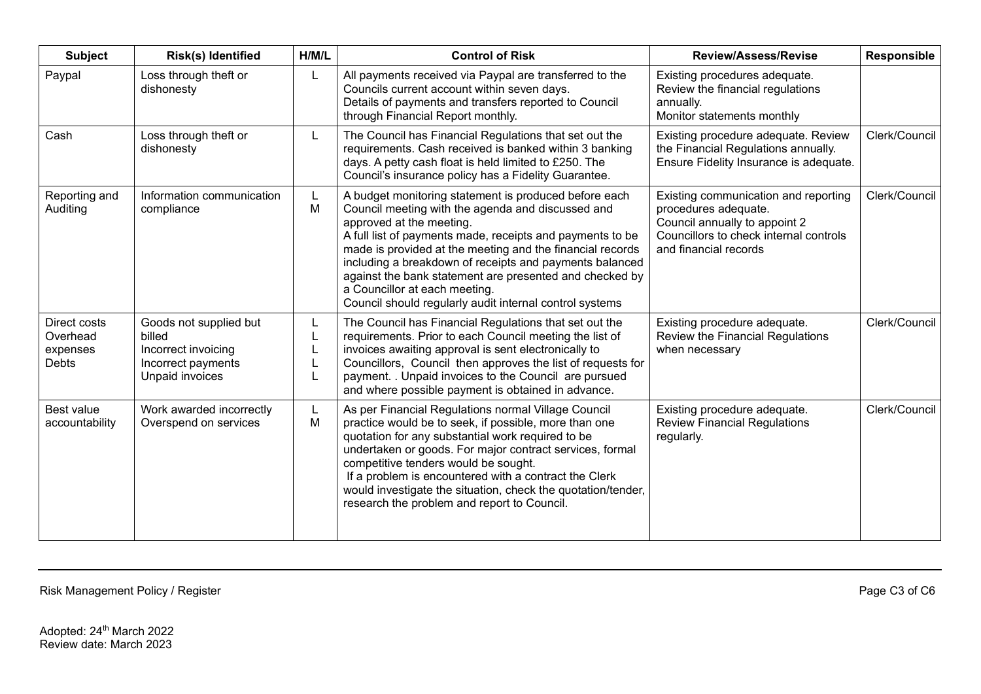| <b>Subject</b>                                | Risk(s) Identified                                                                               | H/M/L  | <b>Control of Risk</b>                                                                                                                                                                                                                                                                                                                                                                                                                                                             | <b>Review/Assess/Revise</b>                                                                                                                                      | Responsible   |
|-----------------------------------------------|--------------------------------------------------------------------------------------------------|--------|------------------------------------------------------------------------------------------------------------------------------------------------------------------------------------------------------------------------------------------------------------------------------------------------------------------------------------------------------------------------------------------------------------------------------------------------------------------------------------|------------------------------------------------------------------------------------------------------------------------------------------------------------------|---------------|
| Paypal                                        | Loss through theft or<br>dishonesty                                                              | L      | All payments received via Paypal are transferred to the<br>Councils current account within seven days.<br>Details of payments and transfers reported to Council<br>through Financial Report monthly.                                                                                                                                                                                                                                                                               | Existing procedures adequate.<br>Review the financial regulations<br>annually.<br>Monitor statements monthly                                                     |               |
| Cash                                          | Loss through theft or<br>dishonesty                                                              | L.     | The Council has Financial Regulations that set out the<br>requirements. Cash received is banked within 3 banking<br>days. A petty cash float is held limited to £250. The<br>Council's insurance policy has a Fidelity Guarantee.                                                                                                                                                                                                                                                  | Existing procedure adequate. Review<br>the Financial Regulations annually.<br>Ensure Fidelity Insurance is adequate.                                             | Clerk/Council |
| Reporting and<br>Auditing                     | Information communication<br>compliance                                                          | L<br>M | A budget monitoring statement is produced before each<br>Council meeting with the agenda and discussed and<br>approved at the meeting.<br>A full list of payments made, receipts and payments to be<br>made is provided at the meeting and the financial records<br>including a breakdown of receipts and payments balanced<br>against the bank statement are presented and checked by<br>a Councillor at each meeting.<br>Council should regularly audit internal control systems | Existing communication and reporting<br>procedures adequate.<br>Council annually to appoint 2<br>Councillors to check internal controls<br>and financial records | Clerk/Council |
| Direct costs<br>Overhead<br>expenses<br>Debts | Goods not supplied but<br>billed<br>Incorrect invoicing<br>Incorrect payments<br>Unpaid invoices | L<br>L | The Council has Financial Regulations that set out the<br>requirements. Prior to each Council meeting the list of<br>invoices awaiting approval is sent electronically to<br>Councillors, Council then approves the list of requests for<br>payment. . Unpaid invoices to the Council are pursued<br>and where possible payment is obtained in advance.                                                                                                                            | Existing procedure adequate.<br>Review the Financial Regulations<br>when necessary                                                                               | Clerk/Council |
| Best value<br>accountability                  | Work awarded incorrectly<br>Overspend on services                                                | L<br>M | As per Financial Regulations normal Village Council<br>practice would be to seek, if possible, more than one<br>quotation for any substantial work required to be<br>undertaken or goods. For major contract services, formal<br>competitive tenders would be sought.<br>If a problem is encountered with a contract the Clerk<br>would investigate the situation, check the quotation/tender,<br>research the problem and report to Council.                                      | Existing procedure adequate.<br><b>Review Financial Regulations</b><br>regularly.                                                                                | Clerk/Council |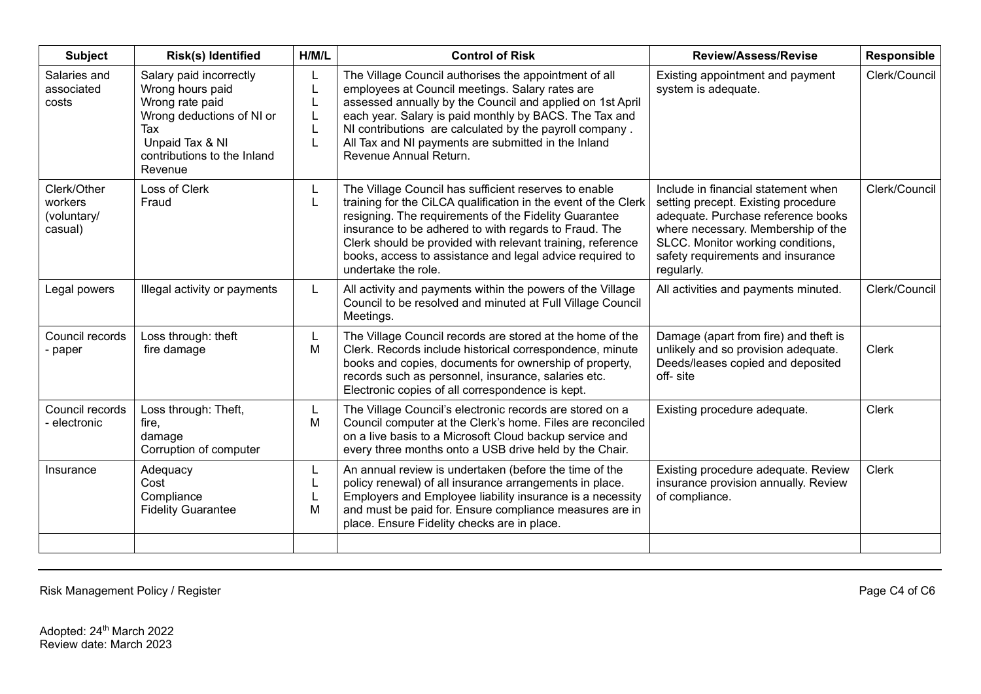| <b>Subject</b>                                   | Risk(s) Identified                                                                                                                                              | H/M/L   | <b>Control of Risk</b>                                                                                                                                                                                                                                                                                                                                                                     | <b>Review/Assess/Revise</b>                                                                                                                                                                                                                    | Responsible   |
|--------------------------------------------------|-----------------------------------------------------------------------------------------------------------------------------------------------------------------|---------|--------------------------------------------------------------------------------------------------------------------------------------------------------------------------------------------------------------------------------------------------------------------------------------------------------------------------------------------------------------------------------------------|------------------------------------------------------------------------------------------------------------------------------------------------------------------------------------------------------------------------------------------------|---------------|
| Salaries and<br>associated<br>costs              | Salary paid incorrectly<br>Wrong hours paid<br>Wrong rate paid<br>Wrong deductions of NI or<br>Tax<br>Unpaid Tax & NI<br>contributions to the Inland<br>Revenue |         | The Village Council authorises the appointment of all<br>employees at Council meetings. Salary rates are<br>assessed annually by the Council and applied on 1st April<br>each year. Salary is paid monthly by BACS. The Tax and<br>NI contributions are calculated by the payroll company.<br>All Tax and NI payments are submitted in the Inland<br>Revenue Annual Return.                | Existing appointment and payment<br>system is adequate.                                                                                                                                                                                        | Clerk/Council |
| Clerk/Other<br>workers<br>(voluntary/<br>casual) | Loss of Clerk<br>Fraud                                                                                                                                          | L       | The Village Council has sufficient reserves to enable<br>training for the CiLCA qualification in the event of the Clerk<br>resigning. The requirements of the Fidelity Guarantee<br>insurance to be adhered to with regards to Fraud. The<br>Clerk should be provided with relevant training, reference<br>books, access to assistance and legal advice required to<br>undertake the role. | Include in financial statement when<br>setting precept. Existing procedure<br>adequate. Purchase reference books<br>where necessary. Membership of the<br>SLCC. Monitor working conditions,<br>safety requirements and insurance<br>regularly. | Clerk/Council |
| Legal powers                                     | Illegal activity or payments                                                                                                                                    | L       | All activity and payments within the powers of the Village<br>Council to be resolved and minuted at Full Village Council<br>Meetings.                                                                                                                                                                                                                                                      | All activities and payments minuted.                                                                                                                                                                                                           | Clerk/Council |
| Council records<br>- paper                       | Loss through: theft<br>fire damage                                                                                                                              | L.<br>M | The Village Council records are stored at the home of the<br>Clerk. Records include historical correspondence, minute<br>books and copies, documents for ownership of property,<br>records such as personnel, insurance, salaries etc.<br>Electronic copies of all correspondence is kept.                                                                                                 | Damage (apart from fire) and theft is<br>unlikely and so provision adequate.<br>Deeds/leases copied and deposited<br>off-site                                                                                                                  | <b>Clerk</b>  |
| Council records<br>- electronic                  | Loss through: Theft,<br>fire,<br>damage<br>Corruption of computer                                                                                               | L.<br>M | The Village Council's electronic records are stored on a<br>Council computer at the Clerk's home. Files are reconciled<br>on a live basis to a Microsoft Cloud backup service and<br>every three months onto a USB drive held by the Chair.                                                                                                                                                | Existing procedure adequate.                                                                                                                                                                                                                   | <b>Clerk</b>  |
| Insurance                                        | Adequacy<br>Cost<br>Compliance<br><b>Fidelity Guarantee</b>                                                                                                     | L<br>M  | An annual review is undertaken (before the time of the<br>policy renewal) of all insurance arrangements in place.<br>Employers and Employee liability insurance is a necessity<br>and must be paid for. Ensure compliance measures are in<br>place. Ensure Fidelity checks are in place.                                                                                                   | Existing procedure adequate. Review<br>insurance provision annually. Review<br>of compliance.                                                                                                                                                  | <b>Clerk</b>  |
|                                                  |                                                                                                                                                                 |         |                                                                                                                                                                                                                                                                                                                                                                                            |                                                                                                                                                                                                                                                |               |

Risk Management Policy / Register extending the control of C6 page C4 of C6 page C4 of C6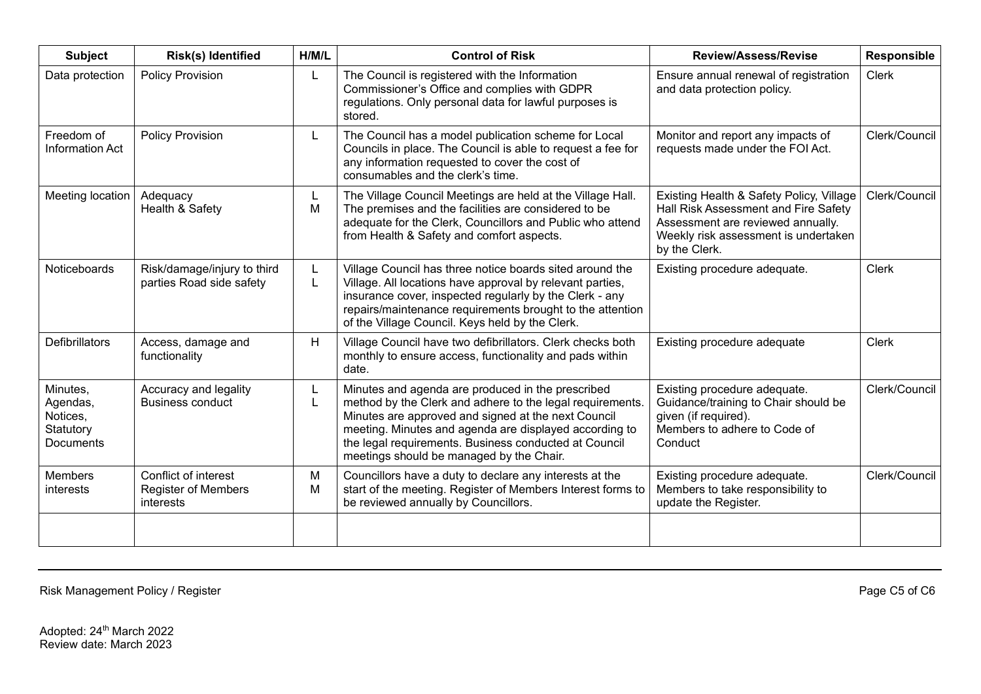| <b>Subject</b>                                             | <b>Risk(s) Identified</b>                                       | H/M/L   | <b>Control of Risk</b>                                                                                                                                                                                                                                                                                                              | <b>Review/Assess/Revise</b>                                                                                                                                                    | Responsible   |
|------------------------------------------------------------|-----------------------------------------------------------------|---------|-------------------------------------------------------------------------------------------------------------------------------------------------------------------------------------------------------------------------------------------------------------------------------------------------------------------------------------|--------------------------------------------------------------------------------------------------------------------------------------------------------------------------------|---------------|
| Data protection                                            | <b>Policy Provision</b>                                         | L       | The Council is registered with the Information<br>Commissioner's Office and complies with GDPR<br>regulations. Only personal data for lawful purposes is<br>stored.                                                                                                                                                                 | Ensure annual renewal of registration<br>and data protection policy.                                                                                                           | <b>Clerk</b>  |
| Freedom of<br><b>Information Act</b>                       | <b>Policy Provision</b>                                         | L.      | The Council has a model publication scheme for Local<br>Councils in place. The Council is able to request a fee for<br>any information requested to cover the cost of<br>consumables and the clerk's time.                                                                                                                          | Monitor and report any impacts of<br>requests made under the FOI Act.                                                                                                          | Clerk/Council |
| Meeting location                                           | Adequacy<br>Health & Safety                                     | L<br>M  | The Village Council Meetings are held at the Village Hall.<br>The premises and the facilities are considered to be<br>adequate for the Clerk, Councillors and Public who attend<br>from Health & Safety and comfort aspects.                                                                                                        | Existing Health & Safety Policy, Village<br>Hall Risk Assessment and Fire Safety<br>Assessment are reviewed annually.<br>Weekly risk assessment is undertaken<br>by the Clerk. | Clerk/Council |
| <b>Noticeboards</b>                                        | Risk/damage/injury to third<br>parties Road side safety         | L.<br>L | Village Council has three notice boards sited around the<br>Village. All locations have approval by relevant parties,<br>insurance cover, inspected regularly by the Clerk - any<br>repairs/maintenance requirements brought to the attention<br>of the Village Council. Keys held by the Clerk.                                    | Existing procedure adequate.                                                                                                                                                   | <b>Clerk</b>  |
| <b>Defibrillators</b>                                      | Access, damage and<br>functionality                             | H       | Village Council have two defibrillators. Clerk checks both<br>monthly to ensure access, functionality and pads within<br>date.                                                                                                                                                                                                      | Existing procedure adequate                                                                                                                                                    | <b>Clerk</b>  |
| Minutes,<br>Agendas,<br>Notices,<br>Statutory<br>Documents | Accuracy and legality<br><b>Business conduct</b>                | L<br>L  | Minutes and agenda are produced in the prescribed<br>method by the Clerk and adhere to the legal requirements<br>Minutes are approved and signed at the next Council<br>meeting. Minutes and agenda are displayed according to<br>the legal requirements. Business conducted at Council<br>meetings should be managed by the Chair. | Existing procedure adequate.<br>Guidance/training to Chair should be<br>given (if required).<br>Members to adhere to Code of<br>Conduct                                        | Clerk/Council |
| <b>Members</b><br>interests                                | Conflict of interest<br><b>Register of Members</b><br>interests | М<br>M  | Councillors have a duty to declare any interests at the<br>start of the meeting. Register of Members Interest forms to<br>be reviewed annually by Councillors.                                                                                                                                                                      | Existing procedure adequate.<br>Members to take responsibility to<br>update the Register.                                                                                      | Clerk/Council |